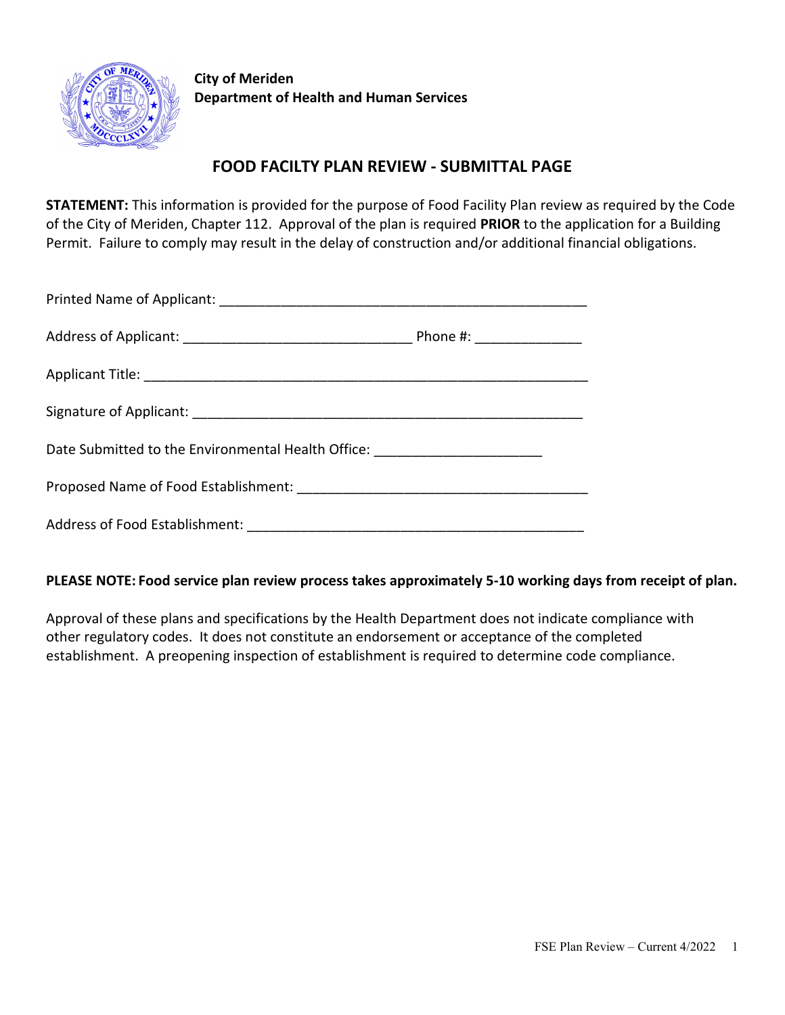

**City of Meriden Department of Health and Human Services**

# **FOOD FACILTY PLAN REVIEW - SUBMITTAL PAGE**

**STATEMENT:** This information is provided for the purpose of Food Facility Plan review as required by the Code of the City of Meriden, Chapter 112. Approval of the plan is required **PRIOR** to the application for a Building Permit. Failure to comply may result in the delay of construction and/or additional financial obligations.

| Date Submitted to the Environmental Health Office: _____________________________ |  |
|----------------------------------------------------------------------------------|--|
|                                                                                  |  |
|                                                                                  |  |

### **PLEASE NOTE: Food service plan review process takes approximately 5-10 working days from receipt of plan.**

Approval of these plans and specifications by the Health Department does not indicate compliance with other regulatory codes. It does not constitute an endorsement or acceptance of the completed establishment. A preopening inspection of establishment is required to determine code compliance.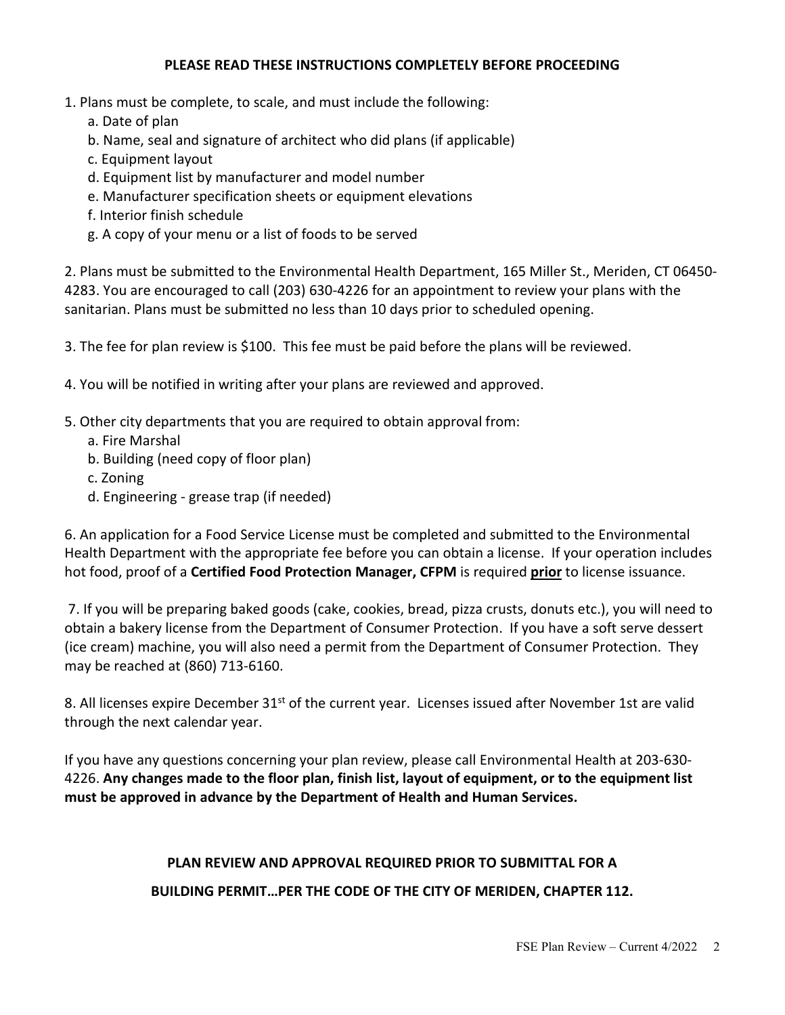#### **PLEASE READ THESE INSTRUCTIONS COMPLETELY BEFORE PROCEEDING**

- 1. Plans must be complete, to scale, and must include the following:
	- a. Date of plan
	- b. Name, seal and signature of architect who did plans (if applicable)
	- c. Equipment layout
	- d. Equipment list by manufacturer and model number
	- e. Manufacturer specification sheets or equipment elevations
	- f. Interior finish schedule
	- g. A copy of your menu or a list of foods to be served

2. Plans must be submitted to the Environmental Health Department, 165 Miller St., Meriden, CT 06450- 4283. You are encouraged to call (203) 630-4226 for an appointment to review your plans with the sanitarian. Plans must be submitted no less than 10 days prior to scheduled opening.

3. The fee for plan review is \$100. This fee must be paid before the plans will be reviewed.

- 4. You will be notified in writing after your plans are reviewed and approved.
- 5. Other city departments that you are required to obtain approval from:
	- a. Fire Marshal
	- b. Building (need copy of floor plan)
	- c. Zoning
	- d. Engineering grease trap (if needed)

6. An application for a Food Service License must be completed and submitted to the Environmental Health Department with the appropriate fee before you can obtain a license. If your operation includes hot food, proof of a **Certified Food Protection Manager, CFPM** is required **prior** to license issuance.

7. If you will be preparing baked goods (cake, cookies, bread, pizza crusts, donuts etc.), you will need to obtain a bakery license from the Department of Consumer Protection. If you have a soft serve dessert (ice cream) machine, you will also need a permit from the Department of Consumer Protection. They may be reached at (860) 713-6160.

8. All licenses expire December 31<sup>st</sup> of the current year. Licenses issued after November 1st are valid through the next calendar year.

If you have any questions concerning your plan review, please call Environmental Health at 203-630- 4226. **Any changes made to the floor plan, finish list, layout of equipment, or to the equipment list must be approved in advance by the Department of Health and Human Services.**

# **PLAN REVIEW AND APPROVAL REQUIRED PRIOR TO SUBMITTAL FOR A BUILDING PERMIT…PER THE CODE OF THE CITY OF MERIDEN, CHAPTER 112.**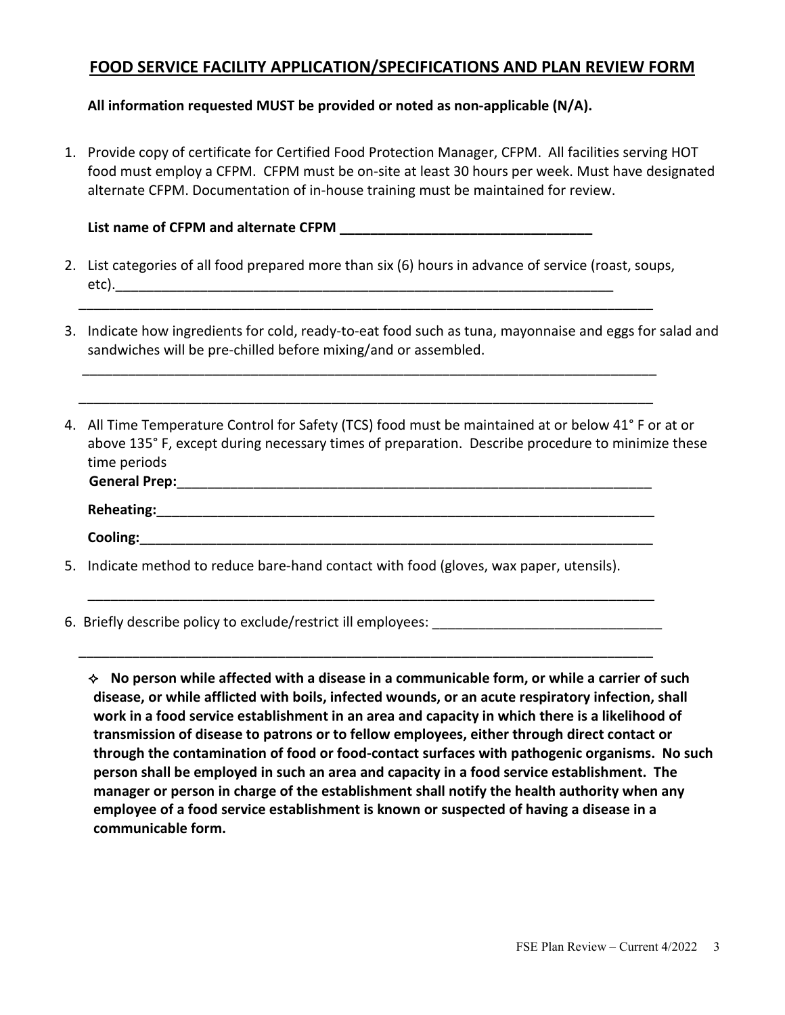# **FOOD SERVICE FACILITY APPLICATION/SPECIFICATIONS AND PLAN REVIEW FORM**

**All information requested MUST be provided or noted as non-applicable (N/A).**

1. Provide copy of certificate for Certified Food Protection Manager, CFPM. All facilities serving HOT food must employ a CFPM. CFPM must be on-site at least 30 hours per week. Must have designated alternate CFPM. Documentation of in-house training must be maintained for review.

**List name of CFPM and alternate CFPM \_\_\_\_\_\_\_\_\_\_\_\_\_\_\_\_\_\_\_\_\_\_\_\_\_\_\_\_\_\_\_\_\_**

2. List categories of all food prepared more than six (6) hours in advance of service (roast, soups, etc).\_\_\_\_\_\_\_\_\_\_\_\_\_\_\_\_\_\_\_\_\_\_\_\_\_\_\_\_\_\_\_\_\_\_\_\_\_\_\_\_\_\_\_\_\_\_\_\_\_\_\_\_\_\_\_\_\_\_\_\_\_\_\_\_\_

\_\_\_\_\_\_\_\_\_\_\_\_\_\_\_\_\_\_\_\_\_\_\_\_\_\_\_\_\_\_\_\_\_\_\_\_\_\_\_\_\_\_\_\_\_\_\_\_\_\_\_\_\_\_\_\_\_\_\_\_\_\_\_\_\_\_\_\_\_\_\_\_\_\_\_

\_\_\_\_\_\_\_\_\_\_\_\_\_\_\_\_\_\_\_\_\_\_\_\_\_\_\_\_\_\_\_\_\_\_\_\_\_\_\_\_\_\_\_\_\_\_\_\_\_\_\_\_\_\_\_\_\_\_\_\_\_\_\_\_\_\_\_\_\_\_\_\_\_\_\_

\_\_\_\_\_\_\_\_\_\_\_\_\_\_\_\_\_\_\_\_\_\_\_\_\_\_\_\_\_\_\_\_\_\_\_\_\_\_\_\_\_\_\_\_\_\_\_\_\_\_\_\_\_\_\_\_\_\_\_\_\_\_\_\_\_\_\_\_\_\_\_\_\_\_\_

- 3. Indicate how ingredients for cold, ready-to-eat food such as tuna, mayonnaise and eggs for salad and sandwiches will be pre-chilled before mixing/and or assembled.
- 4. All Time Temperature Control for Safety (TCS) food must be maintained at or below 41° F or at or above 135° F, except during necessary times of preparation. Describe procedure to minimize these time periods

| <b>General Prep:</b> |
|----------------------|
| Reheating:           |
| Cooling:             |

\_\_\_\_\_\_\_\_\_\_\_\_\_\_\_\_\_\_\_\_\_\_\_\_\_\_\_\_\_\_\_\_\_\_\_\_\_\_\_\_\_\_\_\_\_\_\_\_\_\_\_\_\_\_\_\_\_\_\_\_\_\_\_\_\_\_\_\_\_\_\_\_\_\_

\_\_\_\_\_\_\_\_\_\_\_\_\_\_\_\_\_\_\_\_\_\_\_\_\_\_\_\_\_\_\_\_\_\_\_\_\_\_\_\_\_\_\_\_\_\_\_\_\_\_\_\_\_\_\_\_\_\_\_\_\_\_\_\_\_\_\_\_\_\_\_\_\_\_\_

- 5. Indicate method to reduce bare-hand contact with food (gloves, wax paper, utensils).
- 6. Briefly describe policy to exclude/restrict ill employees:

 **No person while affected with a disease in a communicable form, or while a carrier of such disease, or while afflicted with boils, infected wounds, or an acute respiratory infection, shall work in a food service establishment in an area and capacity in which there is a likelihood of transmission of disease to patrons or to fellow employees, either through direct contact or through the contamination of food or food-contact surfaces with pathogenic organisms. No such person shall be employed in such an area and capacity in a food service establishment. The manager or person in charge of the establishment shall notify the health authority when any employee of a food service establishment is known or suspected of having a disease in a communicable form.**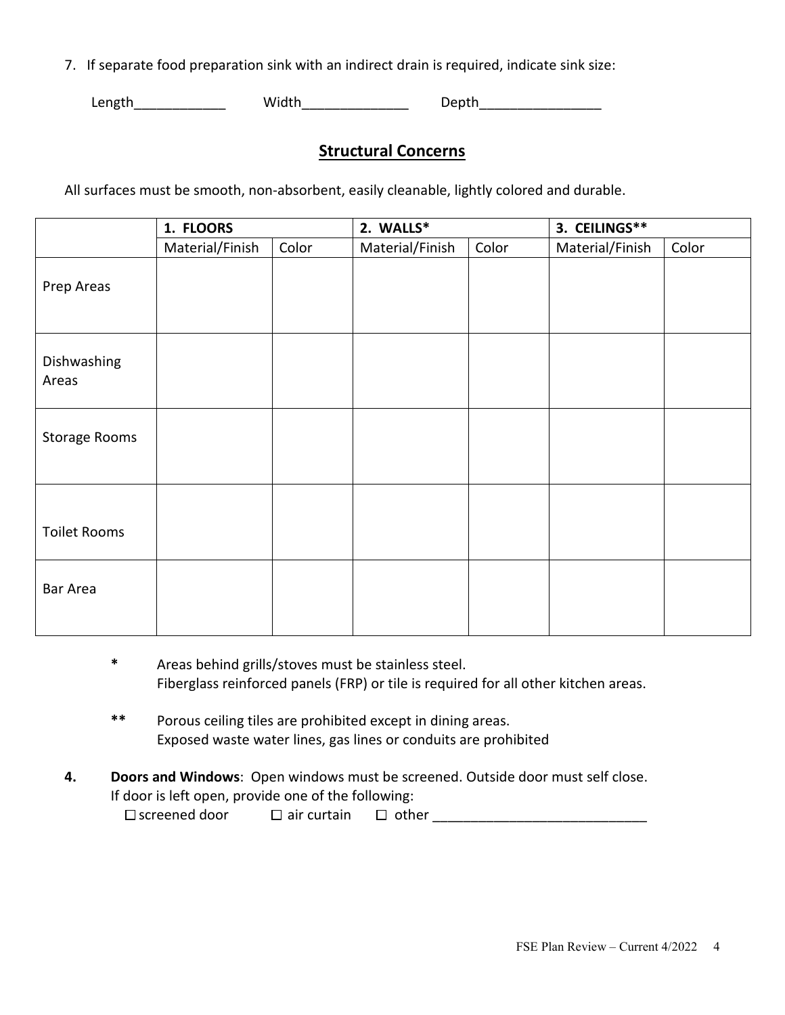7. If separate food preparation sink with an indirect drain is required, indicate sink size:

Length Midth Width Depth

# **Structural Concerns**

All surfaces must be smooth, non-absorbent, easily cleanable, lightly colored and durable.

|                      | 1. FLOORS       |       | 2. WALLS*       |       | 3. CEILINGS**   |       |
|----------------------|-----------------|-------|-----------------|-------|-----------------|-------|
|                      | Material/Finish | Color | Material/Finish | Color | Material/Finish | Color |
| Prep Areas           |                 |       |                 |       |                 |       |
| Dishwashing<br>Areas |                 |       |                 |       |                 |       |
| <b>Storage Rooms</b> |                 |       |                 |       |                 |       |
| <b>Toilet Rooms</b>  |                 |       |                 |       |                 |       |
| Bar Area             |                 |       |                 |       |                 |       |

- **\*** Areas behind grills/stoves must be stainless steel. Fiberglass reinforced panels (FRP) or tile is required for all other kitchen areas.
- **\*\*** Porous ceiling tiles are prohibited except in dining areas. Exposed waste water lines, gas lines or conduits are prohibited
- **4. Doors and Windows**: Open windows must be screened. Outside door must self close. If door is left open, provide one of the following:

screened door air curtain other \_\_\_\_\_\_\_\_\_\_\_\_\_\_\_\_\_\_\_\_\_\_\_\_\_\_\_\_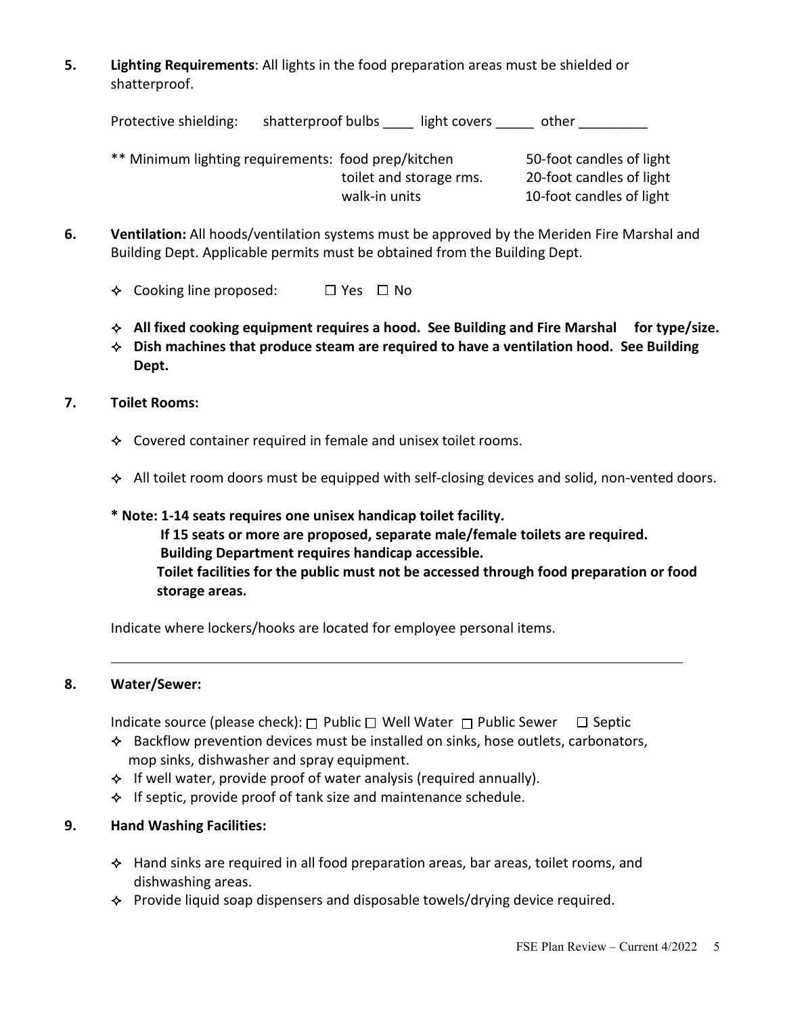**5. Lighting Requirements**: All lights in the food preparation areas must be shielded or shatterproof.

| Protective shielding: | shatterproof bulbs<br>light covers                                             | other                                                |
|-----------------------|--------------------------------------------------------------------------------|------------------------------------------------------|
|                       | ** Minimum lighting requirements: food prep/kitchen<br>toilet and storage rms. | 50-foot candles of light<br>20-foot candles of light |
|                       | walk-in units                                                                  | 10-foot candles of light                             |

- **6. Ventilation:** All hoods/ventilation systems must be approved by the Meriden Fire Marshal and Building Dept. Applicable permits must be obtained from the Building Dept.
	- $\div$  Cooking line proposed:  $\Box$  Yes  $\Box$  No
	- **All fixed cooking equipment requires a hood. See Building and Fire Marshal for type/size.**
	- **Dish machines that produce steam are required to have a ventilation hood. See Building Dept.**

#### **7. Toilet Rooms:**

- $\triangle$  Covered container required in female and unisex toilet rooms.
- $\triangle$  All toilet room doors must be equipped with self-closing devices and solid, non-vented doors.

# **\* Note: 1-14 seats requires one unisex handicap toilet facility. If 15 seats or more are proposed, separate male/female toilets are required. Building Department requires handicap accessible. Toilet facilities for the public must not be accessed through food preparation or food storage areas.**

Indicate where lockers/hooks are located for employee personal items.

#### **8. Water/Sewer:**

Indicate source (please check):  $\Box$  Public  $\Box$  Well Water  $\Box$  Public Sewer  $\Box$  Septic

- $\triangle$  Backflow prevention devices must be installed on sinks, hose outlets, carbonators, mop sinks, dishwasher and spray equipment.
- $\lozenge$  If well water, provide proof of water analysis (required annually).
- $\triangle$  If septic, provide proof of tank size and maintenance schedule.

#### **9. Hand Washing Facilities:**

- $\triangle$  Hand sinks are required in all food preparation areas, bar areas, toilet rooms, and dishwashing areas.
- $\triangle$  Provide liquid soap dispensers and disposable towels/drying device required.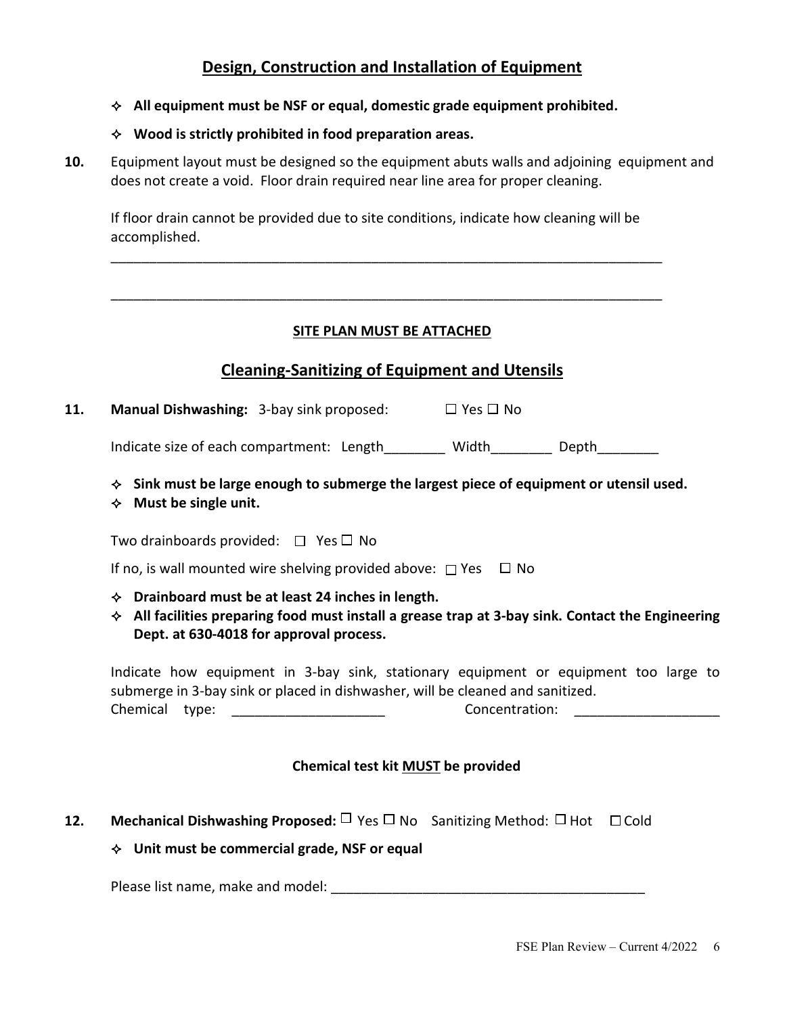# **Design, Construction and Installation of Equipment**

### **All equipment must be NSF or equal, domestic grade equipment prohibited.**

### **Wood is strictly prohibited in food preparation areas.**

**10.** Equipment layout must be designed so the equipment abuts walls and adjoining equipment and does not create a void. Floor drain required near line area for proper cleaning.

If floor drain cannot be provided due to site conditions, indicate how cleaning will be accomplished.

\_\_\_\_\_\_\_\_\_\_\_\_\_\_\_\_\_\_\_\_\_\_\_\_\_\_\_\_\_\_\_\_\_\_\_\_\_\_\_\_\_\_\_\_\_\_\_\_\_\_\_\_\_\_\_\_\_\_\_\_\_\_\_\_\_\_\_\_\_\_\_\_

\_\_\_\_\_\_\_\_\_\_\_\_\_\_\_\_\_\_\_\_\_\_\_\_\_\_\_\_\_\_\_\_\_\_\_\_\_\_\_\_\_\_\_\_\_\_\_\_\_\_\_\_\_\_\_\_\_\_\_\_\_\_\_\_\_\_\_\_\_\_\_\_

## **SITE PLAN MUST BE ATTACHED**

# **Cleaning-Sanitizing of Equipment and Utensils**

| 11. | <b>Manual Dishwashing: 3-bay sink proposed:</b> | $\Box$ Yes $\Box$ No |  |
|-----|-------------------------------------------------|----------------------|--|
|     |                                                 |                      |  |

Indicate size of each compartment: Length Width Depth

**Sink must be large enough to submerge the largest piece of equipment or utensil used.** 

#### **Must be single unit.**

Two drainboards provided:  $\Box$  Yes  $\Box$  No

If no, is wall mounted wire shelving provided above:  $\Box$  Yes  $\Box$  No

- **Drainboard must be at least 24 inches in length.**
- **All facilities preparing food must install a grease trap at 3-bay sink. Contact the Engineering Dept. at 630-4018 for approval process.**

Indicate how equipment in 3-bay sink, stationary equipment or equipment too large to submerge in 3-bay sink or placed in dishwasher, will be cleaned and sanitized. Chemical type: \_\_\_\_\_\_\_\_\_\_\_\_\_\_\_\_\_\_\_\_ Concentration: \_\_\_\_\_\_\_\_\_\_\_\_\_\_\_\_\_\_\_

### **Chemical test kit MUST be provided**

**12.** Mechanical Dishwashing Proposed: □ Yes □ No Sanitizing Method: □ Hot □ Cold

### **Unit must be commercial grade, NSF or equal**

Please list name, make and model: **We have also constant that the set of the set of the set of the set of the set of the set of the set of the set of the set of the set of the set of the set of the set of the set of the se**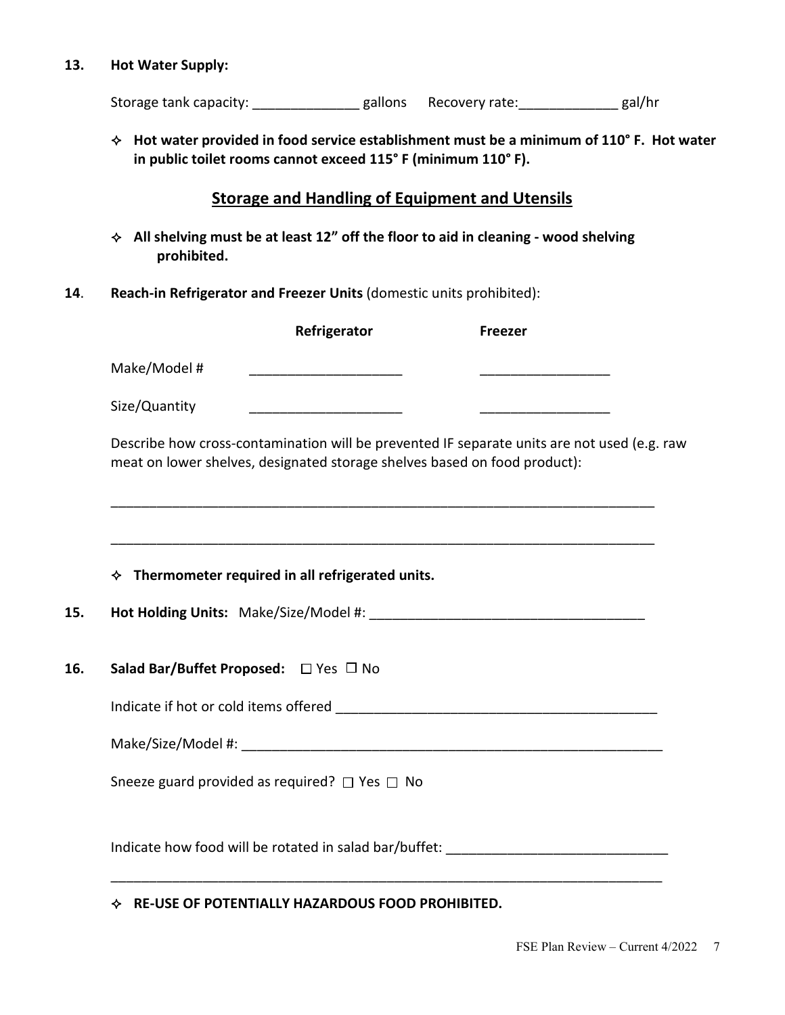#### **13. Hot Water Supply:**

Storage tank capacity: \_\_\_\_\_\_\_\_\_\_\_\_\_\_\_\_ gallons Recovery rate: \_\_\_\_\_\_\_\_\_\_\_\_\_\_\_ gal/hr

 **Hot water provided in food service establishment must be a minimum of 110° F. Hot water in public toilet rooms cannot exceed 115° F (minimum 110° F).** 

## **Storage and Handling of Equipment and Utensils**

- **All shelving must be at least 12" off the floor to aid in cleaning - wood shelving prohibited.**
- **14**. **Reach-in Refrigerator and Freezer Units** (domestic units prohibited):

|                                       | Refrigerator                                                              | <b>Freezer</b>                                                                              |  |
|---------------------------------------|---------------------------------------------------------------------------|---------------------------------------------------------------------------------------------|--|
| Make/Model #                          |                                                                           |                                                                                             |  |
| Size/Quantity                         |                                                                           |                                                                                             |  |
|                                       | meat on lower shelves, designated storage shelves based on food product): | Describe how cross-contamination will be prevented IF separate units are not used (e.g. raw |  |
|                                       |                                                                           |                                                                                             |  |
|                                       | $\div$ Thermometer required in all refrigerated units.                    |                                                                                             |  |
|                                       |                                                                           |                                                                                             |  |
|                                       |                                                                           |                                                                                             |  |
| Salad Bar/Buffet Proposed: □ Yes □ No |                                                                           |                                                                                             |  |
|                                       |                                                                           |                                                                                             |  |
|                                       |                                                                           |                                                                                             |  |
|                                       | Sneeze guard provided as required? $\Box$ Yes $\Box$ No                   |                                                                                             |  |

**RE-USE OF POTENTIALLY HAZARDOUS FOOD PROHIBITED.**